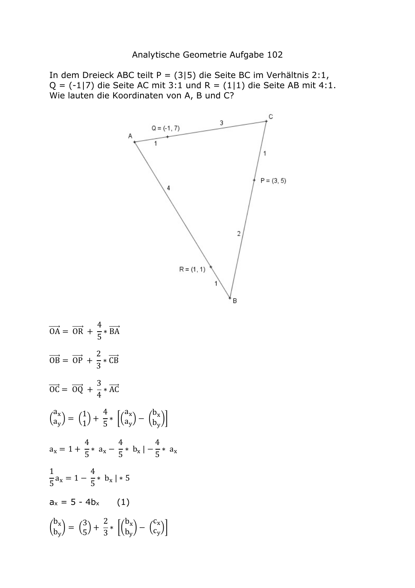In dem Dreieck ABC teilt P = (3|5) die Seite BC im Verhältnis 2:1,  $Q = (-1)$  die Seite AC mit 3:1 und R =  $(1)$  die Seite AB mit 4:1. Wie lauten die Koordinaten von A, B und C?



$$
\overrightarrow{OA} = \overrightarrow{OR} + \frac{4}{5} * \overrightarrow{BA}
$$
\n
$$
\overrightarrow{OB} = \overrightarrow{OP} + \frac{2}{3} * \overrightarrow{CB}
$$
\n
$$
\overrightarrow{OC} = \overrightarrow{OQ} + \frac{3}{4} * \overrightarrow{AC}
$$
\n
$$
\begin{pmatrix} a_x \\ a_y \end{pmatrix} = \begin{pmatrix} 1 \\ 1 \end{pmatrix} + \frac{4}{5} * \left[ \begin{pmatrix} a_x \\ a_y \end{pmatrix} - \begin{pmatrix} b_x \\ b_y \end{pmatrix} \right]
$$
\n
$$
a_x = 1 + \frac{4}{5} * a_x - \frac{4}{5} * b_x \mid -\frac{4}{5} * a_x
$$
\n
$$
\frac{1}{5} a_x = 1 - \frac{4}{5} * b_x \mid * 5
$$
\n
$$
a_x = 5 - 4b_x \qquad (1)
$$
\n
$$
\begin{pmatrix} b_x \\ b_y \end{pmatrix} = \begin{pmatrix} 3 \\ 5 \end{pmatrix} + \frac{2}{3} * \left[ \begin{pmatrix} b_x \\ b_y \end{pmatrix} - \begin{pmatrix} c_x \\ c_y \end{pmatrix} \right]
$$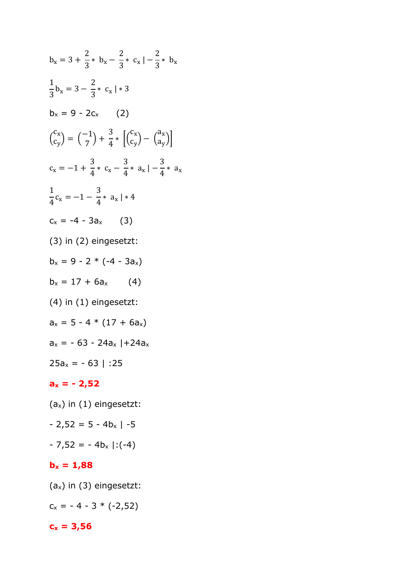$$
b_x = 3 + \frac{2}{3} * b_x - \frac{2}{3} * c_x | -\frac{2}{3} * b_x
$$
  
\n
$$
\frac{1}{3}b_x = 3 - \frac{2}{3} * c_x | * 3
$$
  
\n
$$
b_x = 9 - 2c_x \t (2)
$$
  
\n
$$
\binom{c_x}{c_y} = \binom{-1}{7} + \frac{3}{4} * \left[ \binom{c_x}{c_y} - \binom{a_x}{a_y} \right]
$$
  
\n
$$
c_x = -1 + \frac{3}{4} * c_x - \frac{3}{4} * a_x | -\frac{3}{4} * a_x
$$
  
\n
$$
\frac{1}{4}c_x = -1 - \frac{3}{4} * a_x | * 4
$$
  
\n
$$
c_x = -4 - 3a_x \t (3)
$$
  
\n(3) in (2) eingesetzt:  
\n
$$
b_x = 9 - 2 * (-4 - 3a_x)
$$
  
\n
$$
b_x = 17 + 6a_x \t (4)
$$
  
\n(4) in (1) eingesetzt:  
\n
$$
a_x = 5 - 4 * (17 + 6a_x)
$$
  
\n
$$
a_x = -63 - 24a_x | + 24a_x
$$
  
\n
$$
25a_x = -63 | :25
$$

## **ax = - 2,52**

- $(a_x)$  in  $(1)$  eingesetzt:
- $2,52 = 5 4b<sub>x</sub>$  |  $-5$
- $-7,52 = -4b_x$  |:(-4)

## $$

(ax) in (3) eingesetzt:

 $c_x = -4 - 3 * (-2,52)$ 

## $c_x = 3,56$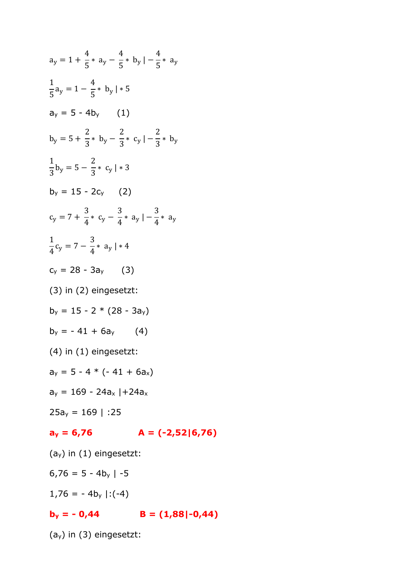$$
a_y = 1 + \frac{4}{5} * a_y - \frac{4}{5} * b_y | -\frac{4}{5} * a_y
$$
\n
$$
\frac{1}{5}a_y = 1 - \frac{4}{5} * b_y | * 5
$$
\n
$$
a_y = 5 - 4b_y \qquad (1)
$$
\n
$$
b_y = 5 + \frac{2}{3} * b_y - \frac{2}{3} * c_y | -\frac{2}{3} * b_y
$$
\n
$$
\frac{1}{3}b_y = 5 - \frac{2}{3} * c_y | * 3
$$
\n
$$
b_y = 15 - 2c_y \qquad (2)
$$
\n
$$
c_y = 7 + \frac{3}{4} * c_y - \frac{3}{4} * a_y | -\frac{3}{4} * a_y
$$
\n
$$
\frac{1}{4}c_y = 7 - \frac{3}{4} * a_y | * 4
$$
\n
$$
c_y = 28 - 3a_y \qquad (3)
$$
\n
$$
(3) in (2) eingesetzt:\n
$$
b_y = 15 - 2 * (28 - 3a_y)
$$
\n
$$
b_y = -41 + 6a_y \qquad (4)
$$
\n
$$
(4) in (1) eingesetzt:\n
$$
a_y = 5 - 4 * (-41 + 6a_x)
$$
\n
$$
a_y = 169 - 24a_x | + 24a_x
$$
\n
$$
25a_y = 169 | :25
$$
\n
$$
a_y = 6,76 \qquad A = (-2,52|6,76)
$$
\n
$$
(a_y) in (1) eingesetzt:\n6,76 = 5 - 4b_y | -5
$$
$$
$$

 $1,76 = -4b_y$  |:(-4)

$$
b_y = -0.44 \qquad B = (1.88|-0.44)
$$

(ay) in (3) eingesetzt: